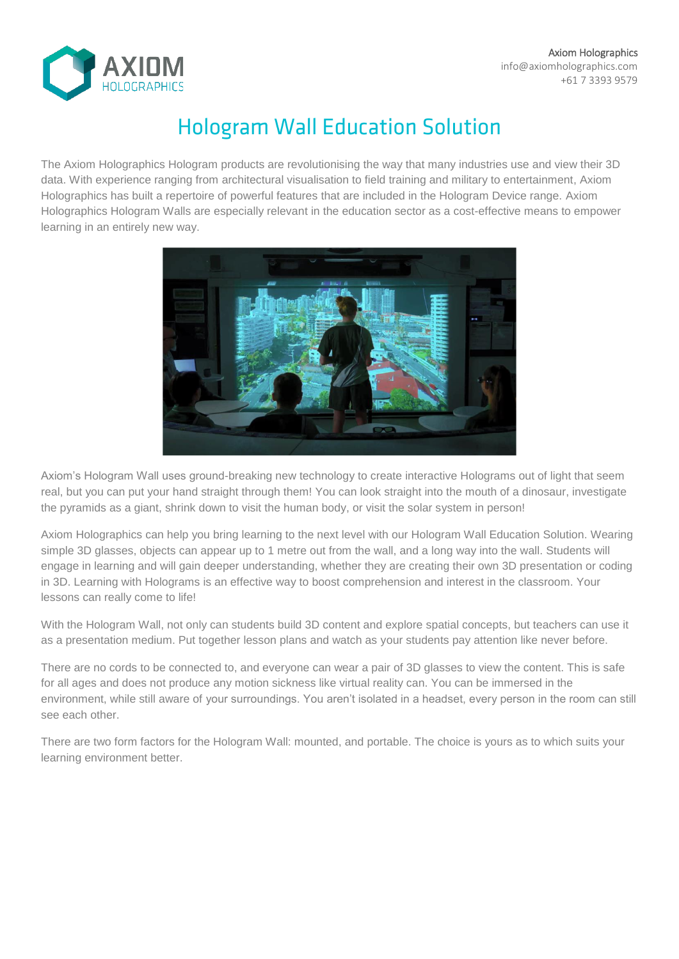

# **Hologram Wall Education Solution**

The Axiom Holographics Hologram products are revolutionising the way that many industries use and view their 3D data. With experience ranging from architectural visualisation to field training and military to entertainment, Axiom Holographics has built a repertoire of powerful features that are included in the Hologram Device range. Axiom Holographics Hologram Walls are especially relevant in the education sector as a cost-effective means to empower learning in an entirely new way.



Axiom's Hologram Wall uses ground-breaking new technology to create interactive Holograms out of light that seem real, but you can put your hand straight through them! You can look straight into the mouth of a dinosaur, investigate the pyramids as a giant, shrink down to visit the human body, or visit the solar system in person!

Axiom Holographics can help you bring learning to the next level with our Hologram Wall Education Solution. Wearing simple 3D glasses, objects can appear up to 1 metre out from the wall, and a long way into the wall. Students will engage in learning and will gain deeper understanding, whether they are creating their own 3D presentation or coding in 3D. Learning with Holograms is an effective way to boost comprehension and interest in the classroom. Your lessons can really come to life!

With the Hologram Wall, not only can students build 3D content and explore spatial concepts, but teachers can use it as a presentation medium. Put together lesson plans and watch as your students pay attention like never before.

There are no cords to be connected to, and everyone can wear a pair of 3D glasses to view the content. This is safe for all ages and does not produce any motion sickness like virtual reality can. You can be immersed in the environment, while still aware of your surroundings. You aren't isolated in a headset, every person in the room can still see each other.

There are two form factors for the Hologram Wall: mounted, and portable. The choice is yours as to which suits your learning environment better.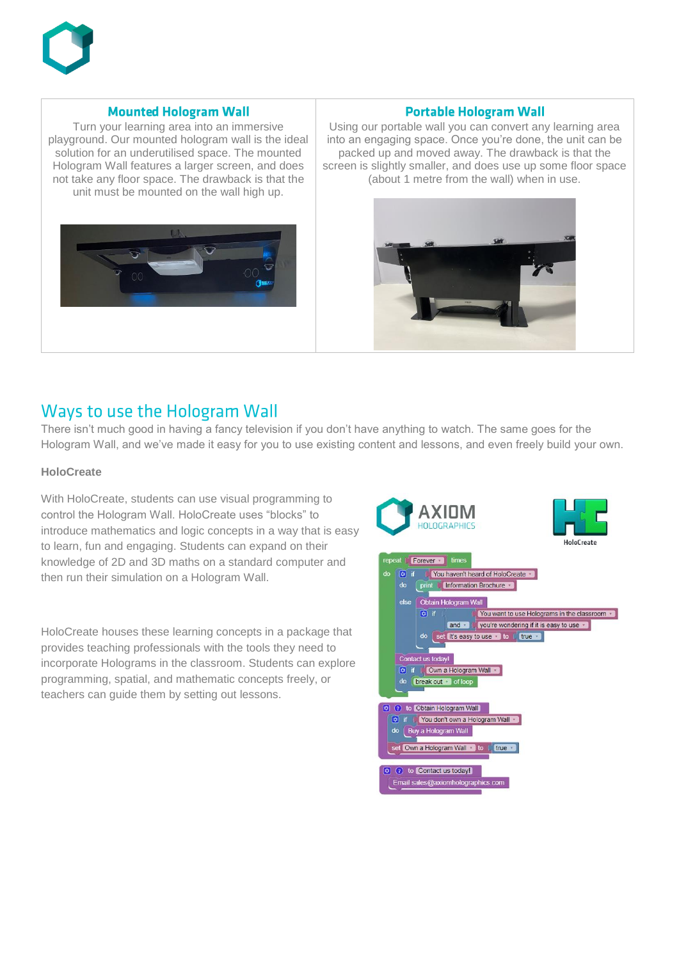

# **Mounted Hologram Wall**

Turn your learning area into an immersive playground. Our mounted hologram wall is the ideal solution for an underutilised space. The mounted Hologram Wall features a larger screen, and does not take any floor space. The drawback is that the unit must be mounted on the wall high up.



#### **Portable Hologram Wall**

Using our portable wall you can convert any learning area into an engaging space. Once you're done, the unit can be packed up and moved away. The drawback is that the screen is slightly smaller, and does use up some floor space (about 1 metre from the wall) when in use.



# Ways to use the Hologram Wall

There isn't much good in having a fancy television if you don't have anything to watch. The same goes for the Hologram Wall, and we've made it easy for you to use existing content and lessons, and even freely build your own.

#### **HoloCreate**

With HoloCreate, students can use visual programming to control the Hologram Wall. HoloCreate uses "blocks" to introduce mathematics and logic concepts in a way that is easy to learn, fun and engaging. Students can expand on their knowledge of 2D and 3D maths on a standard computer and then run their simulation on a Hologram Wall.

HoloCreate houses these learning concepts in a package that provides teaching professionals with the tools they need to incorporate Holograms in the classroom. Students can explore programming, spatial, and mathematic concepts freely, or teachers can guide them by setting out lessons.